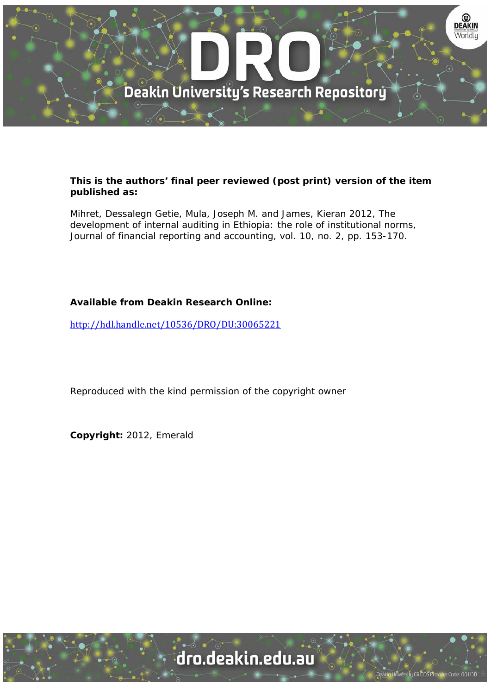

## **This is the authors' final peer reviewed (post print) version of the item published as:**

Mihret, Dessalegn Getie, Mula, Joseph M. and James, Kieran 2012, The development of internal auditing in Ethiopia: the role of institutional norms, Journal of financial reporting and accounting, vol. 10, no. 2, pp. 153-170.

## **Available from Deakin Research Online:**

http://hdl.handle.net/10536/DRO/DU:30065221

Reproduced with the kind permission of the copyright owner

**Copyright:** 2012, Emerald

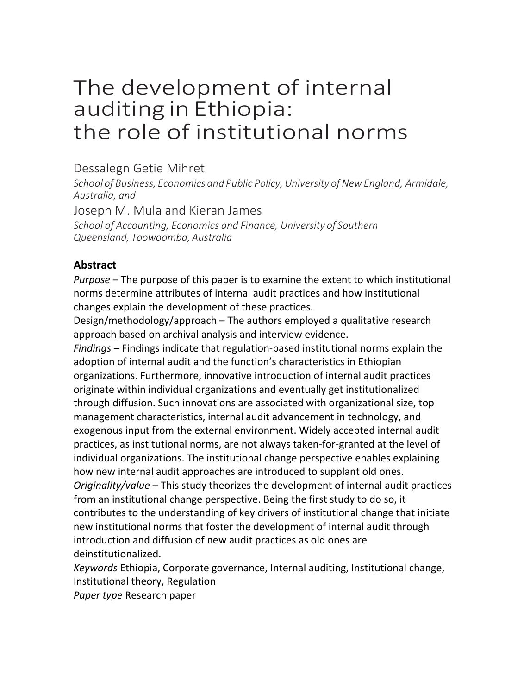# The development of internal auditing in Ethiopia: the role of institutional norms

# Dessalegn Getie Mihret

*School of Business, Economics and Public Policy,University ofNewEngland, Armidale, Australia, and* Joseph M. Mula and Kieran James

*School of Accounting, Economics and Finance, University of Southern Queensland, Toowoomba, Australia*

## **Abstract**

*Purpose –* The purpose of this paper is to examine the extent to which institutional norms determine attributes of internal audit practices and how institutional changes explain the development of these practices.

Design/methodology/approach – The authors employed a qualitative research approach based on archival analysis and interview evidence.

*Findings –* Findings indicate that regulation-based institutional norms explain the adoption of internal audit and the function's characteristics in Ethiopian organizations. Furthermore, innovative introduction of internal audit practices originate within individual organizations and eventually get institutionalized through diffusion. Such innovations are associated with organizational size, top management characteristics, internal audit advancement in technology, and exogenous input from the external environment. Widely accepted internal audit practices, as institutional norms, are not always taken-for-granted at the level of individual organizations. The institutional change perspective enables explaining how new internal audit approaches are introduced to supplant old ones. *Originality/value –* This study theorizes the development of internal audit practices from an institutional change perspective. Being the first study to do so, it contributes to the understanding of key drivers of institutional change that initiate new institutional norms that foster the development of internal audit through introduction and diffusion of new audit practices as old ones are deinstitutionalized.

*Keywords* Ethiopia, Corporate governance, Internal auditing, Institutional change, Institutional theory, Regulation *Paper type* Research paper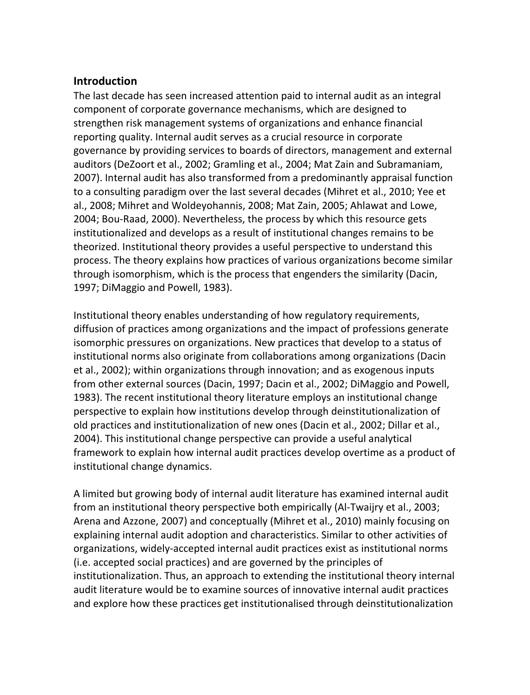#### **Introduction**

The last decade has seen increased attention paid to internal audit as an integral component of corporate governance mechanisms, which are designed to strengthen risk management systems of organizations and enhance financial reporting quality. Internal audit serves as a crucial resource in corporate governance by providing services to boards of directors, management and external auditors (DeZoort et al., 2002; Gramling et al., 2004; Mat Zain and Subramaniam, 2007). Internal audit has also transformed from a predominantly appraisal function to a consulting paradigm over the last several decades (Mihret et al., 2010; Yee et al., 2008; Mihret and Woldeyohannis, 2008; Mat Zain, 2005; Ahlawat and Lowe, 2004; Bou-Raad, 2000). Nevertheless, the process by which this resource gets institutionalized and develops as a result of institutional changes remains to be theorized. Institutional theory provides a useful perspective to understand this process. The theory explains how practices of various organizations become similar through isomorphism, which is the process that engenders the similarity (Dacin, 1997; DiMaggio and Powell, 1983).

Institutional theory enables understanding of how regulatory requirements, diffusion of practices among organizations and the impact of professions generate isomorphic pressures on organizations. New practices that develop to a status of institutional norms also originate from collaborations among organizations (Dacin et al., 2002); within organizations through innovation; and as exogenous inputs from other external sources (Dacin, 1997; Dacin et al., 2002; DiMaggio and Powell, 1983). The recent institutional theory literature employs an institutional change perspective to explain how institutions develop through deinstitutionalization of old practices and institutionalization of new ones (Dacin et al., 2002; Dillar et al., 2004). This institutional change perspective can provide a useful analytical framework to explain how internal audit practices develop overtime as a product of institutional change dynamics.

A limited but growing body of internal audit literature has examined internal audit from an institutional theory perspective both empirically (Al-Twaijry et al., 2003; Arena and Azzone, 2007) and conceptually (Mihret et al., 2010) mainly focusing on explaining internal audit adoption and characteristics. Similar to other activities of organizations, widely-accepted internal audit practices exist as institutional norms (i.e. accepted social practices) and are governed by the principles of institutionalization. Thus, an approach to extending the institutional theory internal audit literature would be to examine sources of innovative internal audit practices and explore how these practices get institutionalised through deinstitutionalization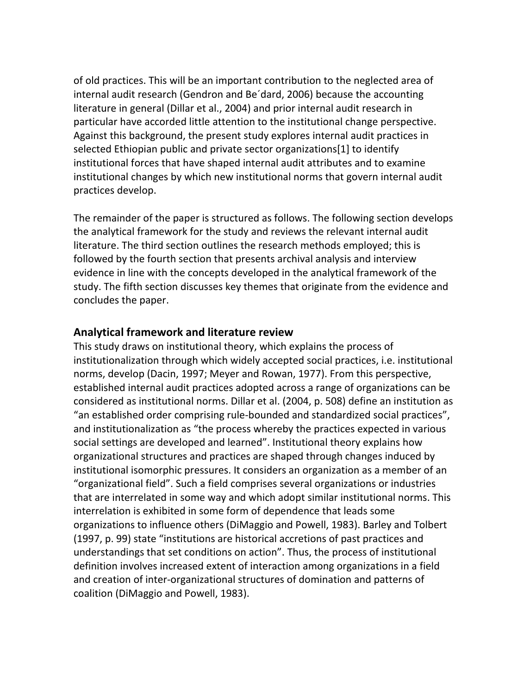of old practices. This will be an important contribution to the neglected area of internal audit research (Gendron and Be´dard, 2006) because the accounting literature in general (Dillar et al., 2004) and prior internal audit research in particular have accorded little attention to the institutional change perspective. Against this background, the present study explores internal audit practices in selected Ethiopian public and private sector organizations[1] to identify institutional forces that have shaped internal audit attributes and to examine institutional changes by which new institutional norms that govern internal audit practices develop.

The remainder of the paper is structured as follows. The following section develops the analytical framework for the study and reviews the relevant internal audit literature. The third section outlines the research methods employed; this is followed by the fourth section that presents archival analysis and interview evidence in line with the concepts developed in the analytical framework of the study. The fifth section discusses key themes that originate from the evidence and concludes the paper.

#### **Analytical framework and literature review**

This study draws on institutional theory, which explains the process of institutionalization through which widely accepted social practices, i.e. institutional norms, develop (Dacin, 1997; Meyer and Rowan, 1977). From this perspective, established internal audit practices adopted across a range of organizations can be considered as institutional norms. Dillar et al. (2004, p. 508) define an institution as "an established order comprising rule-bounded and standardized social practices", and institutionalization as "the process whereby the practices expected in various social settings are developed and learned". Institutional theory explains how organizational structures and practices are shaped through changes induced by institutional isomorphic pressures. It considers an organization as a member of an "organizational field". Such a field comprises several organizations or industries that are interrelated in some way and which adopt similar institutional norms. This interrelation is exhibited in some form of dependence that leads some organizations to influence others (DiMaggio and Powell, 1983). Barley and Tolbert (1997, p. 99) state "institutions are historical accretions of past practices and understandings that set conditions on action". Thus, the process of institutional definition involves increased extent of interaction among organizations in a field and creation of inter-organizational structures of domination and patterns of coalition (DiMaggio and Powell, 1983).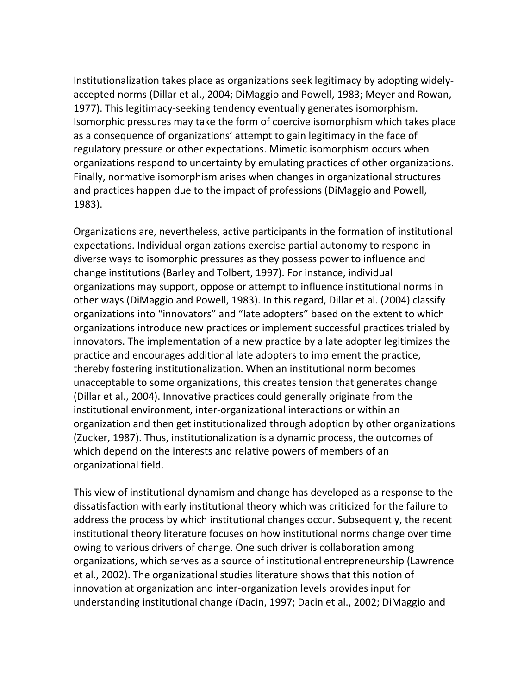Institutionalization takes place as organizations seek legitimacy by adopting widelyaccepted norms (Dillar et al., 2004; DiMaggio and Powell, 1983; Meyer and Rowan, 1977). This legitimacy-seeking tendency eventually generates isomorphism. Isomorphic pressures may take the form of coercive isomorphism which takes place as a consequence of organizations' attempt to gain legitimacy in the face of regulatory pressure or other expectations. Mimetic isomorphism occurs when organizations respond to uncertainty by emulating practices of other organizations. Finally, normative isomorphism arises when changes in organizational structures and practices happen due to the impact of professions (DiMaggio and Powell, 1983).

Organizations are, nevertheless, active participants in the formation of institutional expectations. Individual organizations exercise partial autonomy to respond in diverse ways to isomorphic pressures as they possess power to influence and change institutions (Barley and Tolbert, 1997). For instance, individual organizations may support, oppose or attempt to influence institutional norms in other ways (DiMaggio and Powell, 1983). In this regard, Dillar et al. (2004) classify organizations into "innovators" and "late adopters" based on the extent to which organizations introduce new practices or implement successful practices trialed by innovators. The implementation of a new practice by a late adopter legitimizes the practice and encourages additional late adopters to implement the practice, thereby fostering institutionalization. When an institutional norm becomes unacceptable to some organizations, this creates tension that generates change (Dillar et al., 2004). Innovative practices could generally originate from the institutional environment, inter-organizational interactions or within an organization and then get institutionalized through adoption by other organizations (Zucker, 1987). Thus, institutionalization is a dynamic process, the outcomes of which depend on the interests and relative powers of members of an organizational field.

This view of institutional dynamism and change has developed as a response to the dissatisfaction with early institutional theory which was criticized for the failure to address the process by which institutional changes occur. Subsequently, the recent institutional theory literature focuses on how institutional norms change over time owing to various drivers of change. One such driver is collaboration among organizations, which serves as a source of institutional entrepreneurship (Lawrence et al., 2002). The organizational studies literature shows that this notion of innovation at organization and inter-organization levels provides input for understanding institutional change (Dacin, 1997; Dacin et al., 2002; DiMaggio and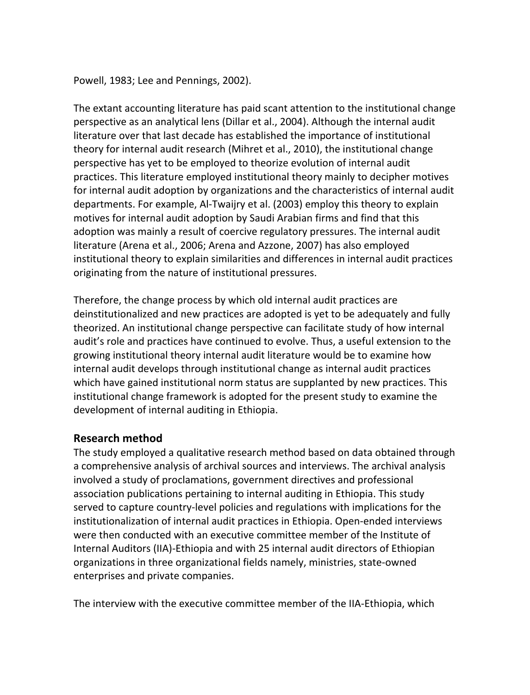Powell, 1983; Lee and Pennings, 2002).

The extant accounting literature has paid scant attention to the institutional change perspective as an analytical lens (Dillar et al., 2004). Although the internal audit literature over that last decade has established the importance of institutional theory for internal audit research (Mihret et al., 2010), the institutional change perspective has yet to be employed to theorize evolution of internal audit practices. This literature employed institutional theory mainly to decipher motives for internal audit adoption by organizations and the characteristics of internal audit departments. For example, Al-Twaijry et al. (2003) employ this theory to explain motives for internal audit adoption by Saudi Arabian firms and find that this adoption was mainly a result of coercive regulatory pressures. The internal audit literature (Arena et al., 2006; Arena and Azzone, 2007) has also employed institutional theory to explain similarities and differences in internal audit practices originating from the nature of institutional pressures.

Therefore, the change process by which old internal audit practices are deinstitutionalized and new practices are adopted is yet to be adequately and fully theorized. An institutional change perspective can facilitate study of how internal audit's role and practices have continued to evolve. Thus, a useful extension to the growing institutional theory internal audit literature would be to examine how internal audit develops through institutional change as internal audit practices which have gained institutional norm status are supplanted by new practices. This institutional change framework is adopted for the present study to examine the development of internal auditing in Ethiopia.

#### **Research method**

The study employed a qualitative research method based on data obtained through a comprehensive analysis of archival sources and interviews. The archival analysis involved a study of proclamations, government directives and professional association publications pertaining to internal auditing in Ethiopia. This study served to capture country-level policies and regulations with implications for the institutionalization of internal audit practices in Ethiopia. Open-ended interviews were then conducted with an executive committee member of the Institute of Internal Auditors (IIA)-Ethiopia and with 25 internal audit directors of Ethiopian organizations in three organizational fields namely, ministries, state-owned enterprises and private companies.

The interview with the executive committee member of the IIA-Ethiopia, which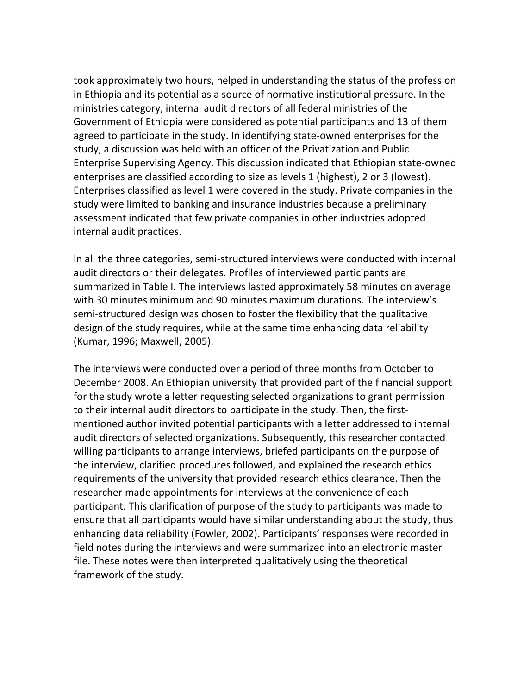took approximately two hours, helped in understanding the status of the profession in Ethiopia and its potential as a source of normative institutional pressure. In the ministries category, internal audit directors of all federal ministries of the Government of Ethiopia were considered as potential participants and 13 of them agreed to participate in the study. In identifying state-owned enterprises for the study, a discussion was held with an officer of the Privatization and Public Enterprise Supervising Agency. This discussion indicated that Ethiopian state-owned enterprises are classified according to size as levels 1 (highest), 2 or 3 (lowest). Enterprises classified as level 1 were covered in the study. Private companies in the study were limited to banking and insurance industries because a preliminary assessment indicated that few private companies in other industries adopted internal audit practices.

In all the three categories, semi-structured interviews were conducted with internal audit directors or their delegates. Profiles of interviewed participants are summarized in Table I. The interviews lasted approximately 58 minutes on average with 30 minutes minimum and 90 minutes maximum durations. The interview's semi-structured design was chosen to foster the flexibility that the qualitative design of the study requires, while at the same time enhancing data reliability (Kumar, 1996; Maxwell, 2005).

The interviews were conducted over a period of three months from October to December 2008. An Ethiopian university that provided part of the financial support for the study wrote a letter requesting selected organizations to grant permission to their internal audit directors to participate in the study. Then, the firstmentioned author invited potential participants with a letter addressed to internal audit directors of selected organizations. Subsequently, this researcher contacted willing participants to arrange interviews, briefed participants on the purpose of the interview, clarified procedures followed, and explained the research ethics requirements of the university that provided research ethics clearance. Then the researcher made appointments for interviews at the convenience of each participant. This clarification of purpose of the study to participants was made to ensure that all participants would have similar understanding about the study, thus enhancing data reliability (Fowler, 2002). Participants' responses were recorded in field notes during the interviews and were summarized into an electronic master file. These notes were then interpreted qualitatively using the theoretical framework of the study.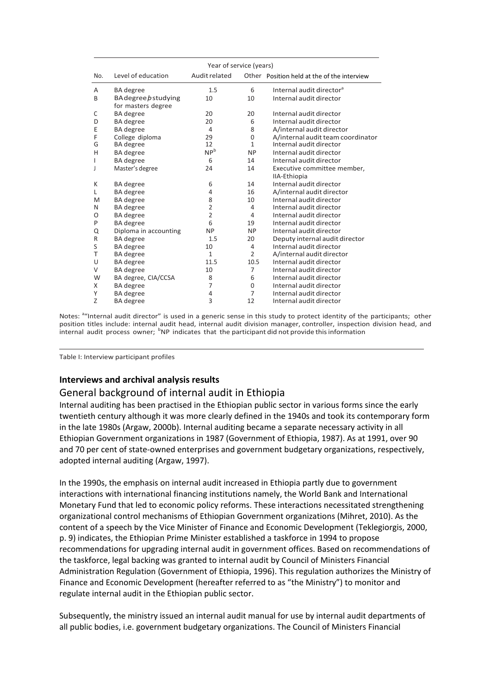|     | Year of service (years)     |                 |                |                                             |  |
|-----|-----------------------------|-----------------|----------------|---------------------------------------------|--|
| No. | Level of education          | Audit related   |                | Other Position held at the of the interview |  |
| Α   | BA degree                   | 1.5             | 6              | Internal audit director <sup>a</sup>        |  |
| B   | BA degree <i>b</i> studying | 10              | 10             | Internal audit director                     |  |
|     | for masters degree          |                 |                |                                             |  |
| С   | <b>BA</b> degree            | 20              | 20             | Internal audit director                     |  |
| D   | <b>BA</b> degree            | 20              | 6              | Internal audit director                     |  |
| E   | <b>BA</b> degree            | 4               | 8              | A/internal audit director                   |  |
| F   | College diploma             | 29              | $\mathbf 0$    | A/internal audit team coordinator           |  |
| G   | <b>BA</b> degree            | 12              | $\mathbf{1}$   | Internal audit director                     |  |
| н   | <b>BA</b> degree            | NP <sup>b</sup> | <b>NP</b>      | Internal audit director                     |  |
| T   | <b>BA</b> degree            | 6               | 14             | Internal audit director                     |  |
| J   | Master's degree             | 24              | 14             | Executive committee member,                 |  |
|     |                             |                 |                | IIA-Ethiopia                                |  |
| К   | BA degree                   | 6               | 14             | Internal audit director                     |  |
| L   | <b>BA</b> degree            | 4               | 16             | A/internal audit director                   |  |
| M   | <b>BA</b> degree            | 8               | 10             | Internal audit director                     |  |
| N   | <b>BA</b> degree            | 2               | 4              | Internal audit director                     |  |
| O   | <b>BA</b> degree            | $\overline{2}$  | 4              | Internal audit director                     |  |
| P   | <b>BA</b> degree            | 6               | 19             | Internal audit director                     |  |
| Q   | Diploma in accounting       | <b>NP</b>       | <b>NP</b>      | Internal audit director                     |  |
| R   | <b>BA</b> degree            | 1.5             | 20             | Deputy internal audit director              |  |
| S   | <b>BA</b> degree            | 10              | 4              | Internal audit director                     |  |
| T   | <b>BA</b> degree            | 1               | $\overline{2}$ | A/internal audit director                   |  |
| U   | <b>BA</b> degree            | 11.5            | 10.5           | Internal audit director                     |  |
| V   | BA degree                   | 10              | $\overline{7}$ | Internal audit director                     |  |
| W   | BA degree, CIA/CCSA         | 8               | 6              | Internal audit director                     |  |
| X   | <b>BA</b> degree            | 7               | $\mathbf 0$    | Internal audit director                     |  |
| Υ   | <b>BA</b> degree            | 4               | $\overline{7}$ | Internal audit director                     |  |
| Z   | <b>BA</b> degree            | 3               | 12             | Internal audit director                     |  |

Notes: <sup>a</sup>"Internal audit director" is used in a generic sense in this study to protect identity of the participants; other position titles include: internal audit head, internal audit division manager, controller, inspection division head, and internal audit process owner; <sup>b</sup>NP indicates that the participant did not provide this information

Table I: Interview participant profiles

## **Interviews and archival analysis results**

#### General background of internal audit in Ethiopia

Internal auditing has been practised in the Ethiopian public sector in various forms since the early twentieth century although it was more clearly defined in the 1940s and took its contemporary form in the late 1980s (Argaw, 2000b). Internal auditing became a separate necessary activity in all Ethiopian Government organizations in 1987 (Government of Ethiopia, 1987). As at 1991, over 90 and 70 per cent of state-owned enterprises and government budgetary organizations, respectively, adopted internal auditing (Argaw, 1997).

In the 1990s, the emphasis on internal audit increased in Ethiopia partly due to government interactions with international financing institutions namely, the World Bank and International Monetary Fund that led to economic policy reforms. These interactions necessitated strengthening organizational control mechanisms of Ethiopian Government organizations (Mihret, 2010). As the content of a speech by the Vice Minister of Finance and Economic Development (Teklegiorgis, 2000, p. 9) indicates, the Ethiopian Prime Minister established a taskforce in 1994 to propose recommendations for upgrading internal audit in government offices. Based on recommendations of the taskforce, legal backing was granted to internal audit by Council of Ministers Financial Administration Regulation (Government of Ethiopia, 1996). This regulation authorizes the Ministry of Finance and Economic Development (hereafter referred to as "the Ministry") to monitor and regulate internal audit in the Ethiopian public sector.

Subsequently, the ministry issued an internal audit manual for use by internal audit departments of all public bodies, i.e. government budgetary organizations. The Council of Ministers Financial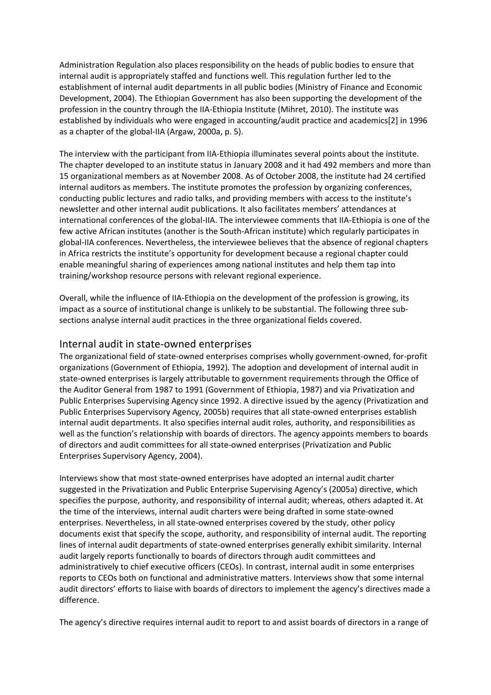Administration Regulation also places responsibility on the heads of public bodies to ensure that internal audit is appropriately staffed and functions well. This regulation further led to the establishment of internal audit departments in all public bodies (Ministry of Finance and Economic Development, 2004). The Ethiopian Government has also been supporting the development of the profession in the country through the IIA-Ethiopia Institute (Mihret, 2010). The institute was established by individuals who were engaged in accounting/audit practice and academics[2] in 1996 as a chapter of the global-IIA (Argaw, 2000a, p. 5).

The interview with the participant from IIA-Ethiopia illuminates several points about the institute. The chapter developed to an institute status in January 2008 and it had 492 members and more than 15 organizational members as at November 2008. As of October 2008, the institute had 24 certified internal auditors as members. The institute promotes the profession by organizing conferences, conducting public lectures and radio talks, and providing members with access to the institute's newsletter and other internal audit publications. It also facilitates members' attendances at international conferences of the global-IIA. The interviewee comments that IIA-Ethiopia is one of the few active African institutes (another is the South-African institute) which regularly participates in global-IIA conferences. Nevertheless, the interviewee believes that the absence of regional chapters in Africa restricts the institute's opportunity for development because a regional chapter could enable meaningful sharing of experiences among national institutes and help them tap into training/workshop resource persons with relevant regional experience.

Overall, while the influence of IIA-Ethiopia on the development of the profession is growing, its impact as a source of institutional change is unlikely to be substantial. The following three subsections analyse internal audit practices in the three organizational fields covered.

## Internal audit in state-owned enterprises

The organizational field of state-owned enterprises comprises wholly government-owned, for-profit organizations (Government of Ethiopia, 1992). The adoption and development of internal audit in state-owned enterprises is largely attributable to government requirements through the Office of the Auditor General from 1987 to 1991 (Government of Ethiopia, 1987) and via Privatization and Public Enterprises Supervising Agency since 1992. A directive issued by the agency (Privatization and Public Enterprises Supervisory Agency, 2005b) requires that all state-owned enterprises establish internal audit departments. It also specifies internal audit roles, authority, and responsibilities as well as the function's relationship with boards of directors. The agency appoints members to boards of directors and audit committees for all state-owned enterprises (Privatization and Public Enterprises Supervisory Agency, 2004).

Interviews show that most state-owned enterprises have adopted an internal audit charter suggested in the Privatization and Public Enterprise Supervising Agency's (2005a) directive, which specifies the purpose, authority, and responsibility of internal audit; whereas, others adapted it. At the time of the interviews, internal audit charters were being drafted in some state-owned enterprises. Nevertheless, in all state-owned enterprises covered by the study, other policy documents exist that specify the scope, authority, and responsibility of internal audit. The reporting lines of internal audit departments of state-owned enterprises generally exhibit similarity. Internal audit largely reports functionally to boards of directors through audit committees and administratively to chief executive officers (CEOs). In contrast, internal audit in some enterprises reports to CEOs both on functional and administrative matters. Interviews show that some internal audit directors' efforts to liaise with boards of directors to implement the agency's directives made a difference.

The agency's directive requires internal audit to report to and assist boards of directors in a range of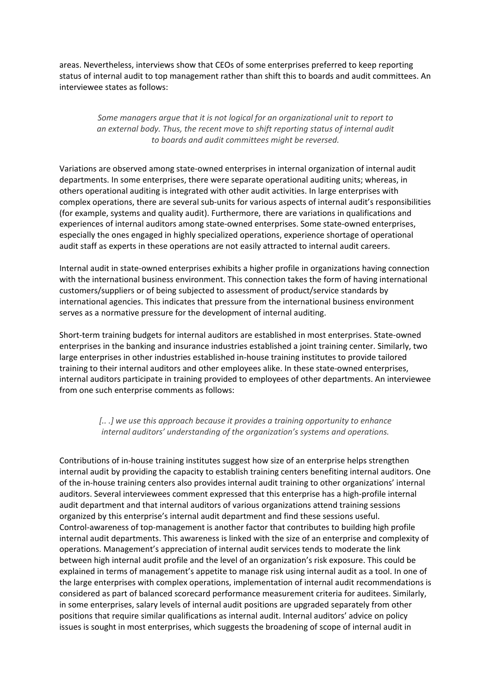areas. Nevertheless, interviews show that CEOs of some enterprises preferred to keep reporting status of internal audit to top management rather than shift this to boards and audit committees. An interviewee states as follows:

> *Some managers argue that it is not logical for an organizational unit to report to an external body. Thus, the recent move to shift reporting status of internal audit to boards and audit committees might be reversed.*

Variations are observed among state-owned enterprises in internal organization of internal audit departments. In some enterprises, there were separate operational auditing units; whereas, in others operational auditing is integrated with other audit activities. In large enterprises with complex operations, there are several sub-units for various aspects of internal audit's responsibilities (for example, systems and quality audit). Furthermore, there are variations in qualifications and experiences of internal auditors among state-owned enterprises. Some state-owned enterprises, especially the ones engaged in highly specialized operations, experience shortage of operational audit staff as experts in these operations are not easily attracted to internal audit careers.

Internal audit in state-owned enterprises exhibits a higher profile in organizations having connection with the international business environment. This connection takes the form of having international customers/suppliers or of being subjected to assessment of product/service standards by international agencies. This indicates that pressure from the international business environment serves as a normative pressure for the development of internal auditing.

Short-term training budgets for internal auditors are established in most enterprises. State-owned enterprises in the banking and insurance industries established a joint training center. Similarly, two large enterprises in other industries established in-house training institutes to provide tailored training to their internal auditors and other employees alike. In these state-owned enterprises, internal auditors participate in training provided to employees of other departments. An interviewee from one such enterprise comments as follows:

## *[.. .] we use this approach because it provides a training opportunity to enhance internal auditors' understanding of the organization's systems and operations.*

Contributions of in-house training institutes suggest how size of an enterprise helps strengthen internal audit by providing the capacity to establish training centers benefiting internal auditors. One of the in-house training centers also provides internal audit training to other organizations' internal auditors. Several interviewees comment expressed that this enterprise has a high-profile internal audit department and that internal auditors of various organizations attend training sessions organized by this enterprise's internal audit department and find these sessions useful. Control-awareness of top-management is another factor that contributes to building high profile internal audit departments. This awareness is linked with the size of an enterprise and complexity of operations. Management's appreciation of internal audit services tends to moderate the link between high internal audit profile and the level of an organization's risk exposure. This could be explained in terms of management's appetite to manage risk using internal audit as a tool. In one of the large enterprises with complex operations, implementation of internal audit recommendations is considered as part of balanced scorecard performance measurement criteria for auditees. Similarly, in some enterprises, salary levels of internal audit positions are upgraded separately from other positions that require similar qualifications as internal audit. Internal auditors' advice on policy issues is sought in most enterprises, which suggests the broadening of scope of internal audit in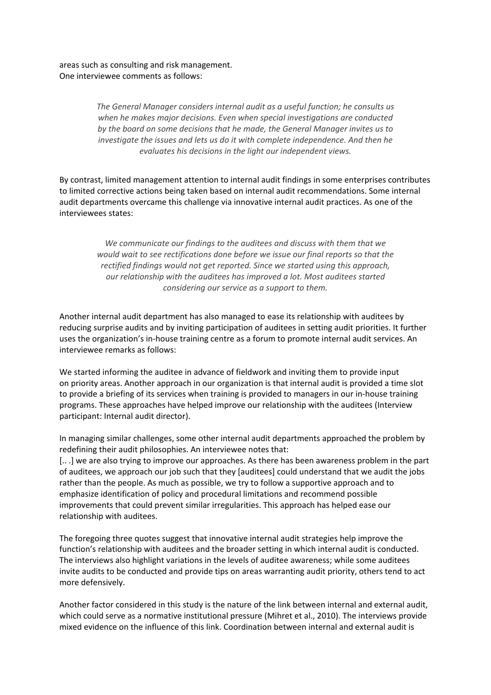areas such as consulting and risk management. One interviewee comments as follows:

> *The General Manager considers internal audit as a useful function; he consults us when he makes major decisions. Even when special investigations are conducted by the board on some decisions that he made, the General Manager invites us to investigate the issues and lets us do it with complete independence. And then he evaluates his decisions in the light our independent views.*

By contrast, limited management attention to internal audit findings in some enterprises contributes to limited corrective actions being taken based on internal audit recommendations. Some internal audit departments overcame this challenge via innovative internal audit practices. As one of the interviewees states:

> *We communicate our findings to the auditees and discuss with them that we would wait to see rectifications done before we issue our final reports so that the rectified findings would not get reported. Since we started using this approach, our relationship with the auditees has improved a lot. Most auditees started considering our service as a support to them.*

Another internal audit department has also managed to ease its relationship with auditees by reducing surprise audits and by inviting participation of auditees in setting audit priorities. It further uses the organization's in-house training centre as a forum to promote internal audit services. An interviewee remarks as follows:

We started informing the auditee in advance of fieldwork and inviting them to provide input on priority areas. Another approach in our organization is that internal audit is provided a time slot to provide a briefing of its services when training is provided to managers in our in-house training programs. These approaches have helped improve our relationship with the auditees (Interview participant: Internal audit director).

In managing similar challenges, some other internal audit departments approached the problem by redefining their audit philosophies. An interviewee notes that:

[.. .] we are also trying to improve our approaches. As there has been awareness problem in the part of auditees, we approach our job such that they [auditees] could understand that we audit the jobs rather than the people. As much as possible, we try to follow a supportive approach and to emphasize identification of policy and procedural limitations and recommend possible improvements that could prevent similar irregularities. This approach has helped ease our relationship with auditees.

The foregoing three quotes suggest that innovative internal audit strategies help improve the function's relationship with auditees and the broader setting in which internal audit is conducted. The interviews also highlight variations in the levels of auditee awareness; while some auditees invite audits to be conducted and provide tips on areas warranting audit priority, others tend to act more defensively.

Another factor considered in this study is the nature of the link between internal and external audit, which could serve as a normative institutional pressure (Mihret et al., 2010). The interviews provide mixed evidence on the influence of this link. Coordination between internal and external audit is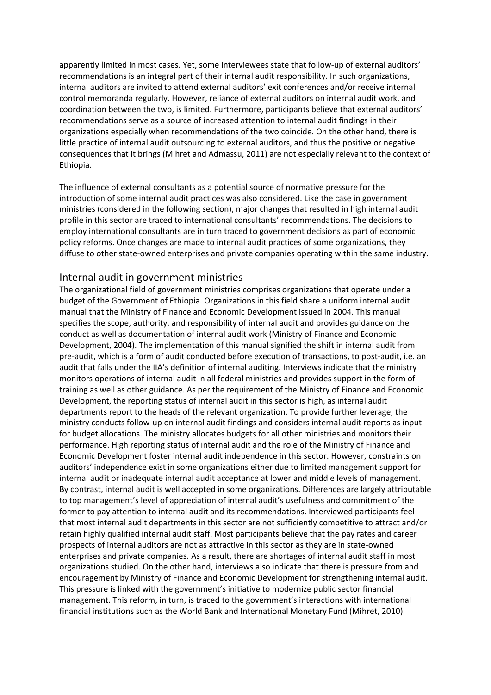apparently limited in most cases. Yet, some interviewees state that follow-up of external auditors' recommendations is an integral part of their internal audit responsibility. In such organizations, internal auditors are invited to attend external auditors' exit conferences and/or receive internal control memoranda regularly. However, reliance of external auditors on internal audit work, and coordination between the two, is limited. Furthermore, participants believe that external auditors' recommendations serve as a source of increased attention to internal audit findings in their organizations especially when recommendations of the two coincide. On the other hand, there is little practice of internal audit outsourcing to external auditors, and thus the positive or negative consequences that it brings (Mihret and Admassu, 2011) are not especially relevant to the context of Ethiopia.

The influence of external consultants as a potential source of normative pressure for the introduction of some internal audit practices was also considered. Like the case in government ministries (considered in the following section), major changes that resulted in high internal audit profile in this sector are traced to international consultants' recommendations. The decisions to employ international consultants are in turn traced to government decisions as part of economic policy reforms. Once changes are made to internal audit practices of some organizations, they diffuse to other state-owned enterprises and private companies operating within the same industry.

## Internal audit in government ministries

The organizational field of government ministries comprises organizations that operate under a budget of the Government of Ethiopia. Organizations in this field share a uniform internal audit manual that the Ministry of Finance and Economic Development issued in 2004. This manual specifies the scope, authority, and responsibility of internal audit and provides guidance on the conduct as well as documentation of internal audit work (Ministry of Finance and Economic Development, 2004). The implementation of this manual signified the shift in internal audit from pre-audit, which is a form of audit conducted before execution of transactions, to post-audit, i.e. an audit that falls under the IIA's definition of internal auditing. Interviews indicate that the ministry monitors operations of internal audit in all federal ministries and provides support in the form of training as well as other guidance. As per the requirement of the Ministry of Finance and Economic Development, the reporting status of internal audit in this sector is high, as internal audit departments report to the heads of the relevant organization. To provide further leverage, the ministry conducts follow-up on internal audit findings and considers internal audit reports as input for budget allocations. The ministry allocates budgets for all other ministries and monitors their performance. High reporting status of internal audit and the role of the Ministry of Finance and Economic Development foster internal audit independence in this sector. However, constraints on auditors' independence exist in some organizations either due to limited management support for internal audit or inadequate internal audit acceptance at lower and middle levels of management. By contrast, internal audit is well accepted in some organizations. Differences are largely attributable to top management's level of appreciation of internal audit's usefulness and commitment of the former to pay attention to internal audit and its recommendations. Interviewed participants feel that most internal audit departments in this sector are not sufficiently competitive to attract and/or retain highly qualified internal audit staff. Most participants believe that the pay rates and career prospects of internal auditors are not as attractive in this sector as they are in state-owned enterprises and private companies. As a result, there are shortages of internal audit staff in most organizations studied. On the other hand, interviews also indicate that there is pressure from and encouragement by Ministry of Finance and Economic Development for strengthening internal audit. This pressure is linked with the government's initiative to modernize public sector financial management. This reform, in turn, is traced to the government's interactions with international financial institutions such as the World Bank and International Monetary Fund (Mihret, 2010).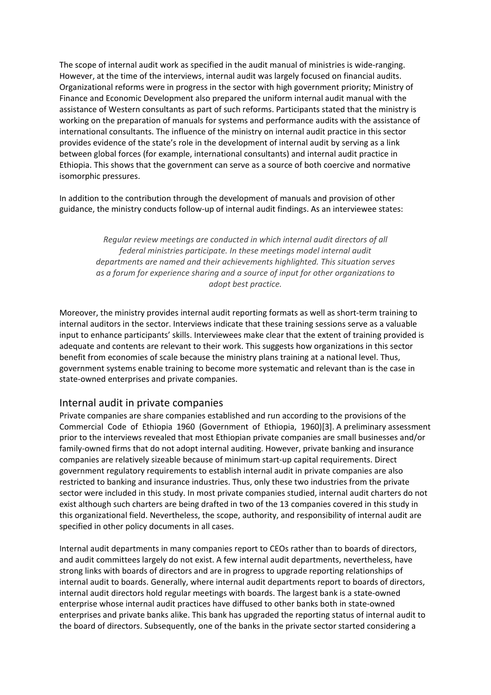The scope of internal audit work as specified in the audit manual of ministries is wide-ranging. However, at the time of the interviews, internal audit was largely focused on financial audits. Organizational reforms were in progress in the sector with high government priority; Ministry of Finance and Economic Development also prepared the uniform internal audit manual with the assistance of Western consultants as part of such reforms. Participants stated that the ministry is working on the preparation of manuals for systems and performance audits with the assistance of international consultants. The influence of the ministry on internal audit practice in this sector provides evidence of the state's role in the development of internal audit by serving as a link between global forces (for example, international consultants) and internal audit practice in Ethiopia. This shows that the government can serve as a source of both coercive and normative isomorphic pressures.

In addition to the contribution through the development of manuals and provision of other guidance, the ministry conducts follow-up of internal audit findings. As an interviewee states:

> *Regular review meetings are conducted in which internal audit directors of all federal ministries participate. In these meetings model internal audit departments are named and their achievements highlighted. This situation serves as a forum for experience sharing and a source of input for other organizations to adopt best practice.*

Moreover, the ministry provides internal audit reporting formats as well as short-term training to internal auditors in the sector. Interviews indicate that these training sessions serve as a valuable input to enhance participants' skills. Interviewees make clear that the extent of training provided is adequate and contents are relevant to their work. This suggests how organizations in this sector benefit from economies of scale because the ministry plans training at a national level. Thus, government systems enable training to become more systematic and relevant than is the case in state-owned enterprises and private companies.

## Internal audit in private companies

Private companies are share companies established and run according to the provisions of the Commercial Code of Ethiopia 1960 (Government of Ethiopia, 1960)[3]. A preliminary assessment prior to the interviews revealed that most Ethiopian private companies are small businesses and/or family-owned firms that do not adopt internal auditing. However, private banking and insurance companies are relatively sizeable because of minimum start-up capital requirements. Direct government regulatory requirements to establish internal audit in private companies are also restricted to banking and insurance industries. Thus, only these two industries from the private sector were included in this study. In most private companies studied, internal audit charters do not exist although such charters are being drafted in two of the 13 companies covered in this study in this organizational field. Nevertheless, the scope, authority, and responsibility of internal audit are specified in other policy documents in all cases.

Internal audit departments in many companies report to CEOs rather than to boards of directors, and audit committees largely do not exist. A few internal audit departments, nevertheless, have strong links with boards of directors and are in progress to upgrade reporting relationships of internal audit to boards. Generally, where internal audit departments report to boards of directors, internal audit directors hold regular meetings with boards. The largest bank is a state-owned enterprise whose internal audit practices have diffused to other banks both in state-owned enterprises and private banks alike. This bank has upgraded the reporting status of internal audit to the board of directors. Subsequently, one of the banks in the private sector started considering a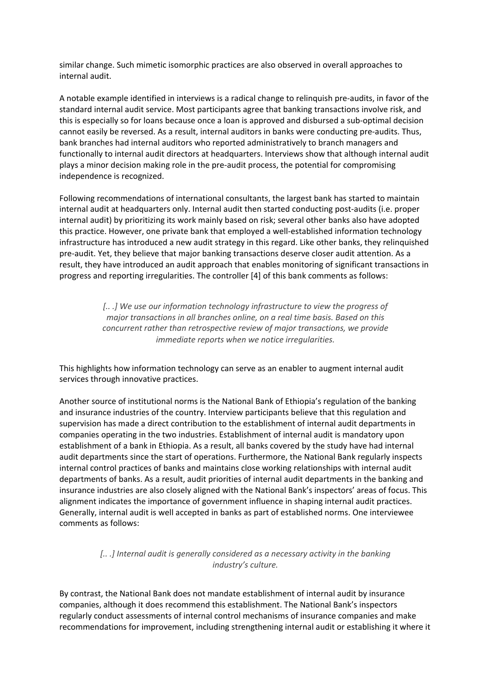similar change. Such mimetic isomorphic practices are also observed in overall approaches to internal audit.

A notable example identified in interviews is a radical change to relinquish pre-audits, in favor of the standard internal audit service. Most participants agree that banking transactions involve risk, and this is especially so for loans because once a loan is approved and disbursed a sub-optimal decision cannot easily be reversed. As a result, internal auditors in banks were conducting pre-audits. Thus, bank branches had internal auditors who reported administratively to branch managers and functionally to internal audit directors at headquarters. Interviews show that although internal audit plays a minor decision making role in the pre-audit process, the potential for compromising independence is recognized.

Following recommendations of international consultants, the largest bank has started to maintain internal audit at headquarters only. Internal audit then started conducting post-audits (i.e. proper internal audit) by prioritizing its work mainly based on risk; several other banks also have adopted this practice. However, one private bank that employed a well-established information technology infrastructure has introduced a new audit strategy in this regard. Like other banks, they relinquished pre-audit. Yet, they believe that major banking transactions deserve closer audit attention. As a result, they have introduced an audit approach that enables monitoring of significant transactions in progress and reporting irregularities. The controller [4] of this bank comments as follows:

> *[.. .] We use our information technology infrastructure to view the progress of major transactions in all branches online, on a real time basis. Based on this concurrent rather than retrospective review of major transactions, we provide immediate reports when we notice irregularities.*

This highlights how information technology can serve as an enabler to augment internal audit services through innovative practices.

Another source of institutional norms is the National Bank of Ethiopia's regulation of the banking and insurance industries of the country. Interview participants believe that this regulation and supervision has made a direct contribution to the establishment of internal audit departments in companies operating in the two industries. Establishment of internal audit is mandatory upon establishment of a bank in Ethiopia. As a result, all banks covered by the study have had internal audit departments since the start of operations. Furthermore, the National Bank regularly inspects internal control practices of banks and maintains close working relationships with internal audit departments of banks. As a result, audit priorities of internal audit departments in the banking and insurance industries are also closely aligned with the National Bank's inspectors' areas of focus. This alignment indicates the importance of government influence in shaping internal audit practices. Generally, internal audit is well accepted in banks as part of established norms. One interviewee comments as follows:

> [...] Internal audit is generally considered as a necessary activity in the banking *industry's culture.*

By contrast, the National Bank does not mandate establishment of internal audit by insurance companies, although it does recommend this establishment. The National Bank's inspectors regularly conduct assessments of internal control mechanisms of insurance companies and make recommendations for improvement, including strengthening internal audit or establishing it where it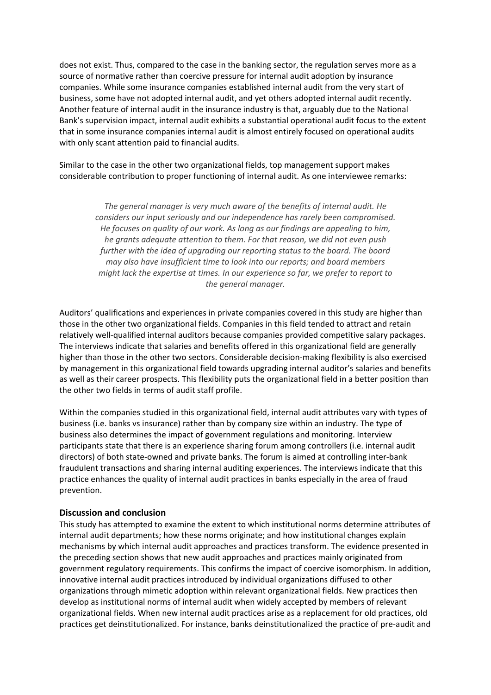does not exist. Thus, compared to the case in the banking sector, the regulation serves more as a source of normative rather than coercive pressure for internal audit adoption by insurance companies. While some insurance companies established internal audit from the very start of business, some have not adopted internal audit, and yet others adopted internal audit recently. Another feature of internal audit in the insurance industry is that, arguably due to the National Bank's supervision impact, internal audit exhibits a substantial operational audit focus to the extent that in some insurance companies internal audit is almost entirely focused on operational audits with only scant attention paid to financial audits.

Similar to the case in the other two organizational fields, top management support makes considerable contribution to proper functioning of internal audit. As one interviewee remarks:

> *The general manager is very much aware of the benefits of internal audit. He considers our input seriously and our independence has rarely been compromised. He focuses on quality of our work. As long as our findings are appealing to him, he grants adequate attention to them. For that reason, we did not even push further with the idea of upgrading our reporting status to the board. The board may also have insufficient time to look into our reports; and board members might lack the expertise at times. In our experience so far, we prefer to report to the general manager.*

Auditors' qualifications and experiences in private companies covered in this study are higher than those in the other two organizational fields. Companies in this field tended to attract and retain relatively well-qualified internal auditors because companies provided competitive salary packages. The interviews indicate that salaries and benefits offered in this organizational field are generally higher than those in the other two sectors. Considerable decision-making flexibility is also exercised by management in this organizational field towards upgrading internal auditor's salaries and benefits as well as their career prospects. This flexibility puts the organizational field in a better position than the other two fields in terms of audit staff profile.

Within the companies studied in this organizational field, internal audit attributes vary with types of business (i.e. banks vs insurance) rather than by company size within an industry. The type of business also determines the impact of government regulations and monitoring. Interview participants state that there is an experience sharing forum among controllers (i.e. internal audit directors) of both state-owned and private banks. The forum is aimed at controlling inter-bank fraudulent transactions and sharing internal auditing experiences. The interviews indicate that this practice enhances the quality of internal audit practices in banks especially in the area of fraud prevention.

#### **Discussion and conclusion**

This study has attempted to examine the extent to which institutional norms determine attributes of internal audit departments; how these norms originate; and how institutional changes explain mechanisms by which internal audit approaches and practices transform. The evidence presented in the preceding section shows that new audit approaches and practices mainly originated from government regulatory requirements. This confirms the impact of coercive isomorphism. In addition, innovative internal audit practices introduced by individual organizations diffused to other organizations through mimetic adoption within relevant organizational fields. New practices then develop as institutional norms of internal audit when widely accepted by members of relevant organizational fields. When new internal audit practices arise as a replacement for old practices, old practices get deinstitutionalized. For instance, banks deinstitutionalized the practice of pre-audit and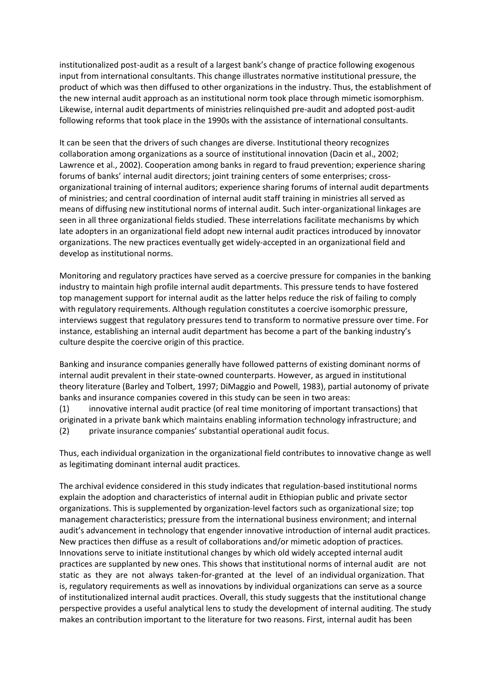institutionalized post-audit as a result of a largest bank's change of practice following exogenous input from international consultants. This change illustrates normative institutional pressure, the product of which was then diffused to other organizations in the industry. Thus, the establishment of the new internal audit approach as an institutional norm took place through mimetic isomorphism. Likewise, internal audit departments of ministries relinquished pre-audit and adopted post-audit following reforms that took place in the 1990s with the assistance of international consultants.

It can be seen that the drivers of such changes are diverse. Institutional theory recognizes collaboration among organizations as a source of institutional innovation (Dacin et al., 2002; Lawrence et al., 2002). Cooperation among banks in regard to fraud prevention; experience sharing forums of banks' internal audit directors; joint training centers of some enterprises; crossorganizational training of internal auditors; experience sharing forums of internal audit departments of ministries; and central coordination of internal audit staff training in ministries all served as means of diffusing new institutional norms of internal audit. Such inter-organizational linkages are seen in all three organizational fields studied. These interrelations facilitate mechanisms by which late adopters in an organizational field adopt new internal audit practices introduced by innovator organizations. The new practices eventually get widely-accepted in an organizational field and develop as institutional norms.

Monitoring and regulatory practices have served as a coercive pressure for companies in the banking industry to maintain high profile internal audit departments. This pressure tends to have fostered top management support for internal audit as the latter helps reduce the risk of failing to comply with regulatory requirements. Although regulation constitutes a coercive isomorphic pressure, interviews suggest that regulatory pressures tend to transform to normative pressure over time. For instance, establishing an internal audit department has become a part of the banking industry's culture despite the coercive origin of this practice.

Banking and insurance companies generally have followed patterns of existing dominant norms of internal audit prevalent in their state-owned counterparts. However, as argued in institutional theory literature (Barley and Tolbert, 1997; DiMaggio and Powell, 1983), partial autonomy of private banks and insurance companies covered in this study can be seen in two areas:

(1) innovative internal audit practice (of real time monitoring of important transactions) that originated in a private bank which maintains enabling information technology infrastructure; and (2) private insurance companies' substantial operational audit focus.

Thus, each individual organization in the organizational field contributes to innovative change as well as legitimating dominant internal audit practices.

The archival evidence considered in this study indicates that regulation-based institutional norms explain the adoption and characteristics of internal audit in Ethiopian public and private sector organizations. This is supplemented by organization-level factors such as organizational size; top management characteristics; pressure from the international business environment; and internal audit's advancement in technology that engender innovative introduction of internal audit practices. New practices then diffuse as a result of collaborations and/or mimetic adoption of practices. Innovations serve to initiate institutional changes by which old widely accepted internal audit practices are supplanted by new ones. This shows that institutional norms of internal audit are not static as they are not always taken-for-granted at the level of an individual organization. That is, regulatory requirements as well as innovations by individual organizations can serve as a source of institutionalized internal audit practices. Overall, this study suggests that the institutional change perspective provides a useful analytical lens to study the development of internal auditing. The study makes an contribution important to the literature for two reasons. First, internal audit has been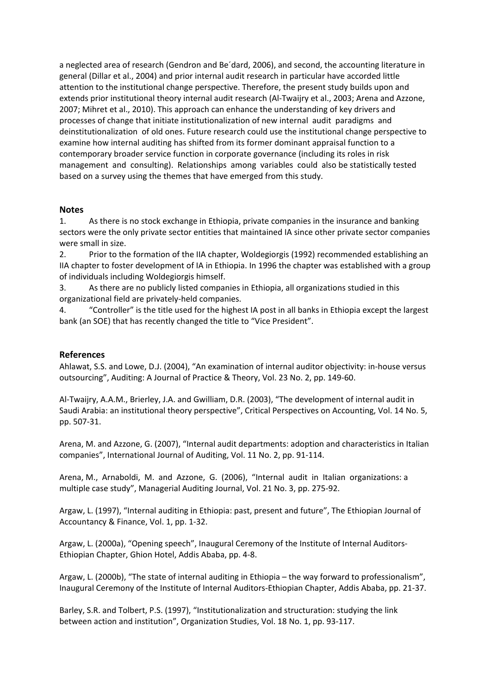a neglected area of research (Gendron and Be´dard, 2006), and second, the accounting literature in general (Dillar et al., 2004) and prior internal audit research in particular have accorded little attention to the institutional change perspective. Therefore, the present study builds upon and extends prior institutional theory internal audit research (Al-Twaijry et al., 2003; Arena and Azzone, 2007; Mihret et al., 2010). This approach can enhance the understanding of key drivers and processes of change that initiate institutionalization of new internal audit paradigms and deinstitutionalization of old ones. Future research could use the institutional change perspective to examine how internal auditing has shifted from its former dominant appraisal function to a contemporary broader service function in corporate governance (including its roles in risk management and consulting). Relationships among variables could also be statistically tested based on a survey using the themes that have emerged from this study.

## **Notes**

1. As there is no stock exchange in Ethiopia, private companies in the insurance and banking sectors were the only private sector entities that maintained IA since other private sector companies were small in size.

2. Prior to the formation of the IIA chapter, Woldegiorgis (1992) recommended establishing an IIA chapter to foster development of IA in Ethiopia. In 1996 the chapter was established with a group of individuals including Woldegiorgis himself.

3. As there are no publicly listed companies in Ethiopia, all organizations studied in this organizational field are privately-held companies.

4. "Controller" is the title used for the highest IA post in all banks in Ethiopia except the largest bank (an SOE) that has recently changed the title to "Vice President".

## **References**

Ahlawat, S.S. and Lowe, D.J. (2004), "An examination of internal auditor objectivity: in-house versus outsourcing", Auditing: A Journal of Practice & Theory, Vol. 23 No. 2, pp. 149-60.

Al-Twaijry, A.A.M., Brierley, J.A. and Gwilliam, D.R. (2003), "The development of internal audit in Saudi Arabia: an institutional theory perspective", Critical Perspectives on Accounting, Vol. 14 No. 5, pp. 507-31.

Arena, M. and Azzone, G. (2007), "Internal audit departments: adoption and characteristics in Italian companies", International Journal of Auditing, Vol. 11 No. 2, pp. 91-114.

Arena, M., Arnaboldi, M. and Azzone, G. (2006), "Internal audit in Italian organizations: a multiple case study", Managerial Auditing Journal, Vol. 21 No. 3, pp. 275-92.

Argaw, L. (1997), "Internal auditing in Ethiopia: past, present and future", The Ethiopian Journal of Accountancy & Finance, Vol. 1, pp. 1-32.

Argaw, L. (2000a), "Opening speech", Inaugural Ceremony of the Institute of Internal Auditors-Ethiopian Chapter, Ghion Hotel, Addis Ababa, pp. 4-8.

Argaw, L. (2000b), "The state of internal auditing in Ethiopia – the way forward to professionalism", Inaugural Ceremony of the Institute of Internal Auditors-Ethiopian Chapter, Addis Ababa, pp. 21-37.

Barley, S.R. and Tolbert, P.S. (1997), "Institutionalization and structuration: studying the link between action and institution", Organization Studies, Vol. 18 No. 1, pp. 93-117.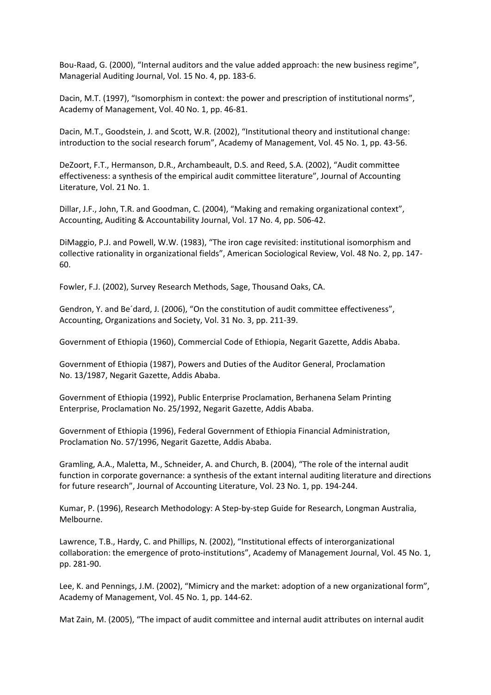Bou-Raad, G. (2000), "Internal auditors and the value added approach: the new business regime", Managerial Auditing Journal, Vol. 15 No. 4, pp. 183-6.

Dacin, M.T. (1997), "Isomorphism in context: the power and prescription of institutional norms", Academy of Management, Vol. 40 No. 1, pp. 46-81.

Dacin, M.T., Goodstein, J. and Scott, W.R. (2002), "Institutional theory and institutional change: introduction to the social research forum", Academy of Management, Vol. 45 No. 1, pp. 43-56.

DeZoort, F.T., Hermanson, D.R., Archambeault, D.S. and Reed, S.A. (2002), "Audit committee effectiveness: a synthesis of the empirical audit committee literature", Journal of Accounting Literature, Vol. 21 No. 1.

Dillar, J.F., John, T.R. and Goodman, C. (2004), "Making and remaking organizational context", Accounting, Auditing & Accountability Journal, Vol. 17 No. 4, pp. 506-42.

DiMaggio, P.J. and Powell, W.W. (1983), "The iron cage revisited: institutional isomorphism and collective rationality in organizational fields", American Sociological Review, Vol. 48 No. 2, pp. 147- 60.

Fowler, F.J. (2002), Survey Research Methods, Sage, Thousand Oaks, CA.

Gendron, Y. and Be´dard, J. (2006), "On the constitution of audit committee effectiveness", Accounting, Organizations and Society, Vol. 31 No. 3, pp. 211-39.

Government of Ethiopia (1960), Commercial Code of Ethiopia, Negarit Gazette, Addis Ababa.

Government of Ethiopia (1987), Powers and Duties of the Auditor General, Proclamation No. 13/1987, Negarit Gazette, Addis Ababa.

Government of Ethiopia (1992), Public Enterprise Proclamation, Berhanena Selam Printing Enterprise, Proclamation No. 25/1992, Negarit Gazette, Addis Ababa.

Government of Ethiopia (1996), Federal Government of Ethiopia Financial Administration, Proclamation No. 57/1996, Negarit Gazette, Addis Ababa.

Gramling, A.A., Maletta, M., Schneider, A. and Church, B. (2004), "The role of the internal audit function in corporate governance: a synthesis of the extant internal auditing literature and directions for future research", Journal of Accounting Literature, Vol. 23 No. 1, pp. 194-244.

Kumar, P. (1996), Research Methodology: A Step-by-step Guide for Research, Longman Australia, Melbourne.

Lawrence, T.B., Hardy, C. and Phillips, N. (2002), "Institutional effects of interorganizational collaboration: the emergence of proto-institutions", Academy of Management Journal, Vol. 45 No. 1, pp. 281-90.

Lee, K. and Pennings, J.M. (2002), "Mimicry and the market: adoption of a new organizational form", Academy of Management, Vol. 45 No. 1, pp. 144-62.

Mat Zain, M. (2005), "The impact of audit committee and internal audit attributes on internal audit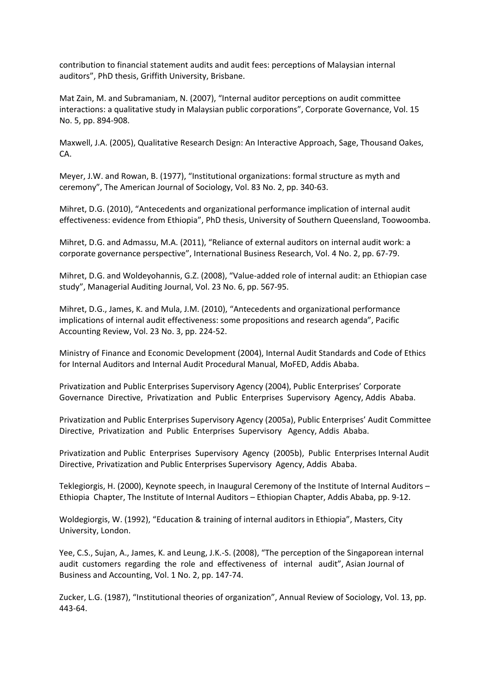contribution to financial statement audits and audit fees: perceptions of Malaysian internal auditors", PhD thesis, Griffith University, Brisbane.

Mat Zain, M. and Subramaniam, N. (2007), "Internal auditor perceptions on audit committee interactions: a qualitative study in Malaysian public corporations", Corporate Governance, Vol. 15 No. 5, pp. 894-908.

Maxwell, J.A. (2005), Qualitative Research Design: An Interactive Approach, Sage, Thousand Oakes, CA.

Meyer, J.W. and Rowan, B. (1977), "Institutional organizations: formal structure as myth and ceremony", The American Journal of Sociology, Vol. 83 No. 2, pp. 340-63.

Mihret, D.G. (2010), "Antecedents and organizational performance implication of internal audit effectiveness: evidence from Ethiopia", PhD thesis, University of Southern Queensland, Toowoomba.

Mihret, D.G. and Admassu, M.A. (2011), "Reliance of external auditors on internal audit work: a corporate governance perspective", International Business Research, Vol. 4 No. 2, pp. 67-79.

Mihret, D.G. and Woldeyohannis, G.Z. (2008), "Value-added role of internal audit: an Ethiopian case study", Managerial Auditing Journal, Vol. 23 No. 6, pp. 567-95.

Mihret, D.G., James, K. and Mula, J.M. (2010), "Antecedents and organizational performance implications of internal audit effectiveness: some propositions and research agenda", Pacific Accounting Review, Vol. 23 No. 3, pp. 224-52.

Ministry of Finance and Economic Development (2004), Internal Audit Standards and Code of Ethics for Internal Auditors and Internal Audit Procedural Manual, MoFED, Addis Ababa.

Privatization and Public Enterprises Supervisory Agency (2004), Public Enterprises' Corporate Governance Directive, Privatization and Public Enterprises Supervisory Agency, Addis Ababa.

Privatization and Public Enterprises Supervisory Agency (2005a), Public Enterprises' Audit Committee Directive, Privatization and Public Enterprises Supervisory Agency, Addis Ababa.

Privatization and Public Enterprises Supervisory Agency (2005b), Public Enterprises Internal Audit Directive, Privatization and Public Enterprises Supervisory Agency, Addis Ababa.

Teklegiorgis, H. (2000), Keynote speech, in Inaugural Ceremony of the Institute of Internal Auditors – Ethiopia Chapter, The Institute of Internal Auditors – Ethiopian Chapter, Addis Ababa, pp. 9-12.

Woldegiorgis, W. (1992), "Education & training of internal auditors in Ethiopia", Masters, City University, London.

Yee, C.S., Sujan, A., James, K. and Leung, J.K.-S. (2008), "The perception of the Singaporean internal audit customers regarding the role and effectiveness of internal audit", Asian Journal of Business and Accounting, Vol. 1 No. 2, pp. 147-74.

Zucker, L.G. (1987), "Institutional theories of organization", Annual Review of Sociology, Vol. 13, pp. 443-64.